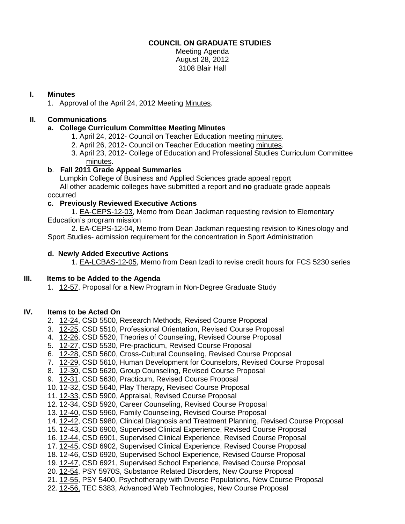## **COUNCIL ON GRADUATE STUDIES**

Meeting Agenda August 28, 2012 3108 Blair Hall

## **I. Minutes**

1. Approval of the April 24, 2012 Meeting [Minutes.](http://castle.eiu.edu/eiucgs/currentminutes/Minutes4-24-12.pdf)

# **II. Communications**

# **a. College Curriculum Committee Meeting Minutes**

- 1. April 24, 2012- Council on Teacher Education meeting [minutes.](http://castle.eiu.edu/~eiucgs/currentagendaitems/COTEMin4-24-12.pdf)
- 2. April 26, 2012- Council on Teacher Education meeting [minutes.](http://castle.eiu.edu/~eiucgs/currentagendaitems/COTEMin4-26-12.pdf)
- 3. April 23, 2012- College of Education and Professional Studies Curriculum Committee [minutes.](http://castle.eiu.edu/~eiucgs/currentagendaitems/CEPSMin4-23-12.pdf)

## **b**. **Fall 2011 Grade Appeal Summaries**

Lumpkin College of Business and Applied Sciences grade appeal [report](http://castle.eiu.edu/~eiucgs/currentagendaitems/LCBAS-SummaryGradeAppeal-FA11.pdf)

 All other academic colleges have submitted a report and **no** graduate grade appeals occurred

## **c. Previously Reviewed Executive Actions**

1. [EA-CEPS-12-03,](http://castle.eiu.edu/~eiucgs/exec-actions/EA-CEPS-12-03.pdf) Memo from Dean Jackman requesting revision to Elementary Education's program mission

2. [EA-CEPS-12-04,](http://castle.eiu.edu/~eiucgs/exec-actions/EA-CEPS-12-04.pdf) Memo from Dean Jackman requesting revision to Kinesiology and Sport Studies- admission requirement for the concentration in Sport Administration

## **d. Newly Added Executive Actions**

1. [EA-LCBAS-12-05,](http://castle.eiu.edu/~eiucgs/exec-actions/EA-LCBAS-12-05.pdf) Memo from Dean Izadi to revise credit hours for FCS 5230 series

# **III. Items to be Added to the Agenda**

1. [12-57,](http://castle.eiu.edu/~eiucgs/currentagendaitems/agenda12-57.pdf) Proposal for a New Program in Non-Degree Graduate Study

## **IV. Items to be Acted On**

- 2. [12-24,](http://castle.eiu.edu/~eiucgs/currentagendaitems/agenda12-24.pdf) CSD 5500, Research Methods, Revised Course Proposal
- 3. [12-25,](http://castle.eiu.edu/~eiucgs/currentagendaitems/agenda12-25.pdf) CSD 5510, Professional Orientation, Revised Course Proposal
- 4. [12-26,](http://castle.eiu.edu/~eiucgs/currentagendaitems/agenda12-26.pdf) CSD 5520, Theories of Counseling, Revised Course Proposal
- 5. [12-27,](http://castle.eiu.edu/~eiucgs/currentagendaitems/agenda12-27.pdf) CSD 5530, Pre-practicum, Revised Course Proposal
- 6. [12-28,](http://castle.eiu.edu/~eiucgs/currentagendaitems/agenda12-28.pdf) CSD 5600, Cross-Cultural Counseling, Revised Course Proposal
- 7. [12-29,](http://castle.eiu.edu/~eiucgs/currentagendaitems/agenda12-29.pdf) CSD 5610, Human Development for Counselors, Revised Course Proposal
- 8. [12-30,](http://castle.eiu.edu/~eiucgs/currentagendaitems/agenda12-30.pdf) CSD 5620, Group Counseling, Revised Course Proposal
- 9. [12-31,](http://castle.eiu.edu/~eiucgs/currentagendaitems/agenda12-31.pdf) CSD 5630, Practicum, Revised Course Proposal
- 10. [12-32,](http://castle.eiu.edu/~eiucgs/currentagendaitems/agenda12-32.pdf) CSD 5640, Play Therapy, Revised Course Proposal
- 11. [12-33,](http://castle.eiu.edu/~eiucgs/currentagendaitems/agenda12-33.pdf) CSD 5900, Appraisal, Revised Course Proposal
- 12. [12-34,](http://castle.eiu.edu/~eiucgs/currentagendaitems/agenda12-34.pdf) CSD 5920, Career Counseling, Revised Course Proposal
- 13. [12-40,](http://castle.eiu.edu/~eiucgs/currentagendaitems/agenda12-40.pdf) CSD 5960, Family Counseling, Revised Course Proposal
- 14. [12-42,](http://castle.eiu.edu/~eiucgs/currentagendaitems/agenda12-42.pdf) CSD 5980, Clinical Diagnosis and Treatment Planning, Revised Course Proposal
- 15. [12-43,](http://castle.eiu.edu/~eiucgs/currentagendaitems/agenda12-43.pdf) CSD 6900, Supervised Clinical Experience, Revised Course Proposal
- 16. [12-44,](http://castle.eiu.edu/~eiucgs/currentagendaitems/agenda12-44.pdf) CSD 6901, Supervised Clinical Experience, Revised Course Proposal
- 17. [12-45,](http://castle.eiu.edu/~eiucgs/currentagendaitems/agenda12-45.pdf) CSD 6902, Supervised Clinical Experience, Revised Course Proposal
- 18. [12-46,](http://castle.eiu.edu/~eiucgs/currentagendaitems/agenda12-46.pdf) CSD 6920, Supervised School Experience, Revised Course Proposal
- 19. [12-47,](http://castle.eiu.edu/~eiucgs/currentagendaitems/agenda12-47.pdf) CSD 6921, Supervised School Experience, Revised Course Proposal
- 20. [12-54,](http://castle.eiu.edu/~eiucgs/currentagendaitems/agenda12-54.pdf) PSY 5970S, Substance Related Disorders, New Course Proposal
- 21. [12-55,](http://castle.eiu.edu/~eiucgs/currentagendaitems/agenda12-55.pdf) PSY 5400, Psychotherapy with Diverse Populations, New Course Proposal
- 22. [12-56,](http://castle.eiu.edu/~eiucgs/currentagendaitems/agenda12-56.pdf) TEC 5383, Advanced Web Technologies, New Course Proposal